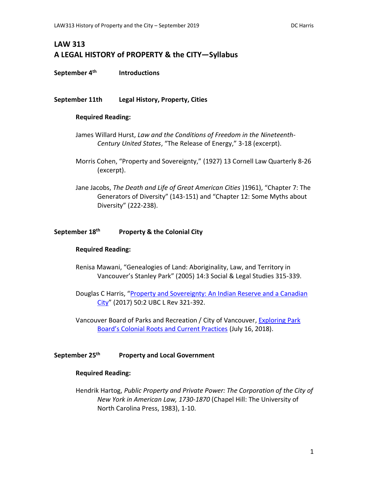# **LAW 313 A LEGAL HISTORY of PROPERTY & the CITY—Syllabus**

**September 4th Introductions**

## **September 11th Legal History, Property, Cities**

## **Required Reading:**

- James Willard Hurst, *Law and the Conditions of Freedom in the Nineteenth-Century United States*, "The Release of Energy," 3-18 (excerpt).
- Morris Cohen, "Property and Sovereignty," (1927) 13 Cornell Law Quarterly 8-26 (excerpt).
- Jane Jacobs, *The Death and Life of Great American Cities* )1961), "Chapter 7: The Generators of Diversity" (143-151) and "Chapter 12: Some Myths about Diversity" (222-238).

#### **September 18 th Property & the Colonial City**

#### **Required Reading:**

- Renisa Mawani, "Genealogies of Land: Aboriginality, Law, and Territory in Vancouver's Stanley Park" (2005) 14:3 Social & Legal Studies 315-339.
- Douglas C Harris, "[Property and Sovereignty: An Indian Reserve and a Canadian](https://commons.allard.ubc.ca/fac_pubs/394/)  [City](https://commons.allard.ubc.ca/fac_pubs/394/)" (2017) 50:2 UBC L Rev 321-392.

Vancouver Board of Parks and Recreation / City of Vancouver, Exploring Park [Board's Colonial Roots and Current Practices](https://parkboardmeetings.vancouver.ca/2018/20180723/REPORT-ExploringParkBoardsColonialRootsAndCurrentPractices-20180723.pdf) (July 16, 2018).

#### **September 25 th Property and Local Government**

#### **Required Reading:**

Hendrik Hartog, *Public Property and Private Power: The Corporation of the City of New York in American Law, 1730-1870* (Chapel Hill: The University of North Carolina Press, 1983), 1-10.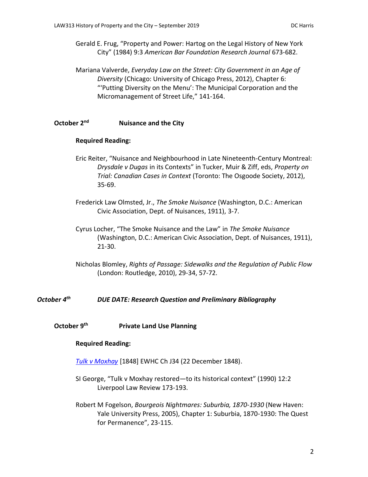Gerald E. Frug, "Property and Power: Hartog on the Legal History of New York City" (1984) 9:3 *American Bar Foundation Research Journal* 673-682.

Mariana Valverde, *Everyday Law on the Street: City Government in an Age of Diversity* (Chicago: University of Chicago Press, 2012), Chapter 6: "'Putting Diversity on the Menu': The Municipal Corporation and the Micromanagement of Street Life," 141-164.

#### **October 2 Nuisance and the City**

## **Required Reading:**

- Eric Reiter, "Nuisance and Neighbourhood in Late Nineteenth-Century Montreal: *Drysdale v Dugas* in its Contexts" in Tucker, Muir & Ziff, eds, *Property on Trial: Canadian Cases in Context* (Toronto: The Osgoode Society, 2012), 35-69.
- Frederick Law Olmsted, Jr., *The Smoke Nuisance* (Washington, D.C.: American Civic Association, Dept. of Nuisances, 1911), 3-7.
- Cyrus Locher, "The Smoke Nuisance and the Law" in *The Smoke Nuisance* (Washington, D.C.: American Civic Association, Dept. of Nuisances, 1911), 21-30.
- Nicholas Blomley, *Rights of Passage: Sidewalks and the Regulation of Public Flow* (London: Routledge, 2010), 29-34, 57-72.

# *October 4th DUE DATE: Research Question and Preliminary Bibliography*

# **October 9th Private Land Use Planning**

# **Required Reading:**

*[Tulk v Moxhay](http://www.bailii.org/ew/cases/EWHC/Ch/1848/J34.html)* [1848] EWHC Ch J34 (22 December 1848).

- SI George, "Tulk v Moxhay restored—to its historical context" (1990) 12:2 Liverpool Law Review 173-193.
- Robert M Fogelson, *Bourgeois Nightmares: Suburbia, 1870-1930* (New Haven: Yale University Press, 2005), Chapter 1: Suburbia, 1870-1930: The Quest for Permanence", 23-115.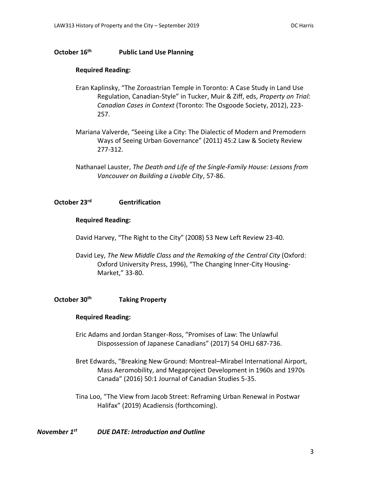# **October 16th Public Land Use Planning**

# **Required Reading:**

- Eran Kaplinsky, "The Zoroastrian Temple in Toronto: A Case Study in Land Use Regulation, Canadian-Style" in Tucker, Muir & Ziff, eds, *Property on Trial: Canadian Cases in Context* (Toronto: The Osgoode Society, 2012), 223- 257.
- Mariana Valverde, "Seeing Like a City: The Dialectic of Modern and Premodern Ways of Seeing Urban Governance" (2011) 45:2 Law & Society Review 277-312.
- Nathanael Lauster, *The Death and Life of the Single-Family House: Lessons from Vancouver on Building a Livable City*, 57-86.

## **October 23rd Gentrification**

#### **Required Reading:**

- David Harvey, "The Right to the City" (2008) 53 New Left Review 23-40.
- David Ley, *The New Middle Class and the Remaking of the Central City* (Oxford: Oxford University Press, 1996), "The Changing Inner-City Housing-Market," 33-80.

# **October 30th Taking Property**

#### **Required Reading:**

- Eric Adams and Jordan Stanger-Ross, "Promises of Law: The Unlawful Dispossession of Japanese Canadians" (2017) 54 OHLJ 687-736.
- Bret Edwards, "Breaking New Ground: Montreal–Mirabel International Airport, Mass Aeromobility, and Megaproject Development in 1960s and 1970s Canada" (2016) 50:1 Journal of Canadian Studies 5-35.
- Tina Loo, "The View from Jacob Street: Reframing Urban Renewal in Postwar Halifax" (2019) Acadiensis (forthcoming).

# *November 1st DUE DATE: Introduction and Outline*